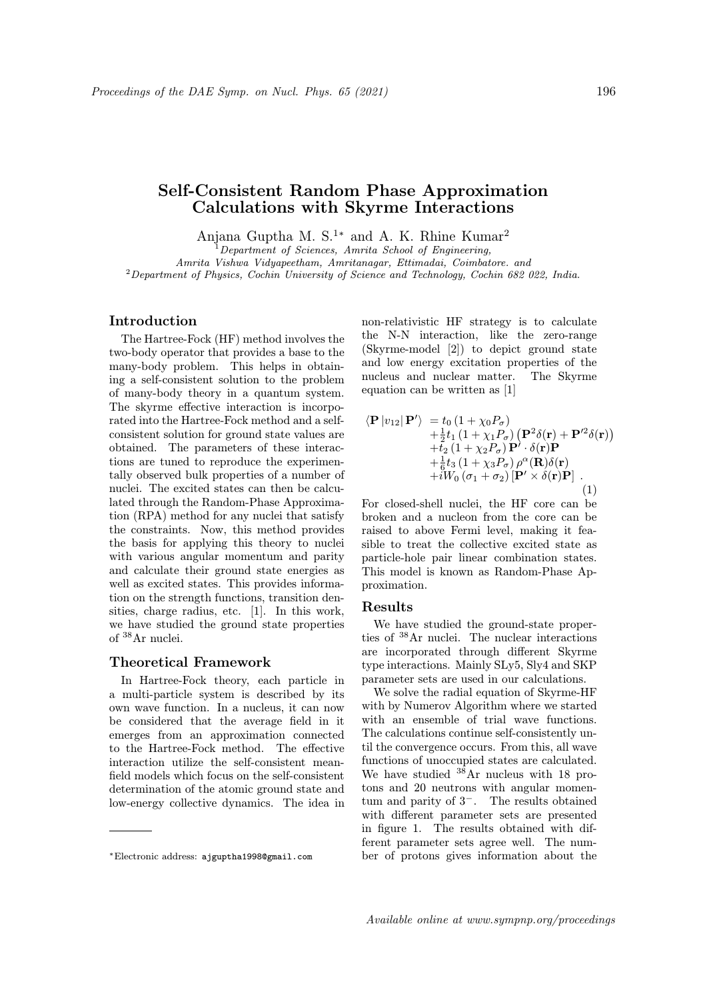# Self-Consistent Random Phase Approximation Calculations with Skyrme Interactions

Anjana Guptha M. S.<sup>1</sup><sup>∗</sup> and A. K. Rhine Kumar<sup>2</sup>

 $1$ Department of Sciences, Amrita School of Engineering, Amrita Vishwa Vidyapeetham, Amritanagar, Ettimadai, Coimbatore. and  ${}^{2}$ Department of Physics, Cochin University of Science and Technology, Cochin 682 022, India.

### Introduction

The Hartree-Fock (HF) method involves the two-body operator that provides a base to the many-body problem. This helps in obtaining a self-consistent solution to the problem of many-body theory in a quantum system. The skyrme effective interaction is incorporated into the Hartree-Fock method and a selfconsistent solution for ground state values are obtained. The parameters of these interactions are tuned to reproduce the experimentally observed bulk properties of a number of nuclei. The excited states can then be calculated through the Random-Phase Approximation (RPA) method for any nuclei that satisfy the constraints. Now, this method provides the basis for applying this theory to nuclei with various angular momentum and parity and calculate their ground state energies as well as excited states. This provides information on the strength functions, transition densities, charge radius, etc. [1]. In this work, we have studied the ground state properties of <sup>38</sup>Ar nuclei.

#### Theoretical Framework

In Hartree-Fock theory, each particle in a multi-particle system is described by its own wave function. In a nucleus, it can now be considered that the average field in it emerges from an approximation connected to the Hartree-Fock method. The effective interaction utilize the self-consistent meanfield models which focus on the self-consistent determination of the atomic ground state and low-energy collective dynamics. The idea in

non-relativistic HF strategy is to calculate the N-N interaction, like the zero-range (Skyrme-model [2]) to depict ground state and low energy excitation properties of the nucleus and nuclear matter. The Skyrme equation can be written as [1]

$$
\langle \mathbf{P} |v_{12} | \mathbf{P}' \rangle = t_0 (1 + \chi_0 P_\sigma) \n+ \frac{1}{2} t_1 (1 + \chi_1 P_\sigma) (\mathbf{P}^2 \delta(\mathbf{r}) + \mathbf{P}'^2 \delta(\mathbf{r})) \n+ t_2 (1 + \chi_2 P_\sigma) \mathbf{P}' \cdot \delta(\mathbf{r}) \mathbf{P} \n+ \frac{1}{6} t_3 (1 + \chi_3 P_\sigma) \rho^\alpha(\mathbf{R}) \delta(\mathbf{r}) \n+ i W_0 (\sigma_1 + \sigma_2) [\mathbf{P}' \times \delta(\mathbf{r}) \mathbf{P}] .
$$
\n(1)

For closed-shell nuclei, the HF core can be broken and a nucleon from the core can be raised to above Fermi level, making it feasible to treat the collective excited state as particle-hole pair linear combination states. This model is known as Random-Phase Approximation.

#### Results

We have studied the ground-state properties of <sup>38</sup>Ar nuclei. The nuclear interactions are incorporated through different Skyrme type interactions. Mainly SLy5, Sly4 and SKP parameter sets are used in our calculations.

We solve the radial equation of Skyrme-HF with by Numerov Algorithm where we started with an ensemble of trial wave functions. The calculations continue self-consistently until the convergence occurs. From this, all wave functions of unoccupied states are calculated. We have studied  $3\bar{8}$ Ar nucleus with 18 protons and 20 neutrons with angular momentum and parity of 3−. The results obtained with different parameter sets are presented in figure 1. The results obtained with different parameter sets agree well. The number of protons gives information about the

<sup>∗</sup>Electronic address: ajguptha1998@gmail.com